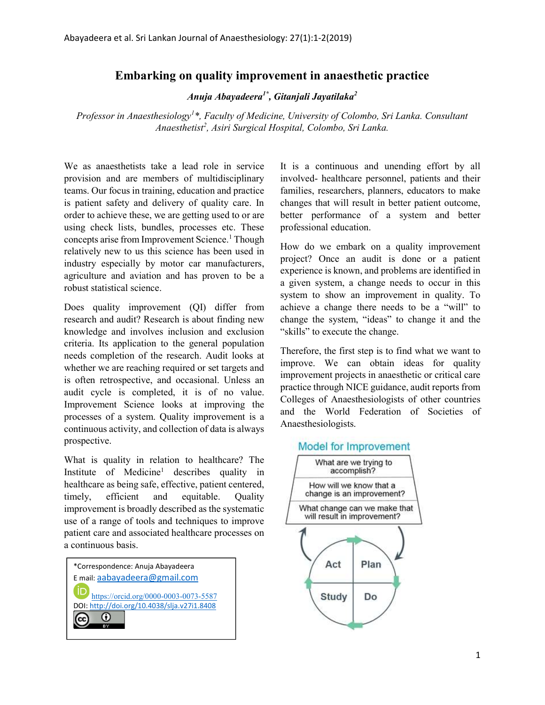## Embarking on quality improvement in anaesthetic practice

Anuja Abayadeera $^{1^\ast}$ , Gitanjali Jayatilaka $^2$ 

Professor in Anaesthesiology<sup>1\*</sup>, Faculty of Medicine, University of Colombo, Sri Lanka. Consultant Anaesthetist<sup>2</sup>, Asiri Surgical Hospital, Colombo, Sri Lanka.

We as anaesthetists take a lead role in service provision and are members of multidisciplinary teams. Our focus in training, education and practice is patient safety and delivery of quality care. In order to achieve these, we are getting used to or are using check lists, bundles, processes etc. These concepts arise from Improvement Science.<sup>1</sup> Though relatively new to us this science has been used in industry especially by motor car manufacturers, agriculture and aviation and has proven to be a robust statistical science.

Does quality improvement (QI) differ from research and audit? Research is about finding new knowledge and involves inclusion and exclusion criteria. Its application to the general population needs completion of the research. Audit looks at whether we are reaching required or set targets and is often retrospective, and occasional. Unless an audit cycle is completed, it is of no value. Improvement Science looks at improving the processes of a system. Quality improvement is a continuous activity, and collection of data is always prospective.

What is quality in relation to healthcare? The Institute of Medicine<sup>1</sup> describes quality in healthcare as being safe, effective, patient centered, timely, efficient and equitable. Quality improvement is broadly described as the systematic use of a range of tools and techniques to improve patient care and associated healthcare processes on a continuous basis.



It is a continuous and unending effort by all involved- healthcare personnel, patients and their families, researchers, planners, educators to make changes that will result in better patient outcome, better performance of a system and better professional education.

How do we embark on a quality improvement project? Once an audit is done or a patient experience is known, and problems are identified in a given system, a change needs to occur in this system to show an improvement in quality. To achieve a change there needs to be a "will" to change the system, "ideas" to change it and the "skills" to execute the change.

Therefore, the first step is to find what we want to improve. We can obtain ideas for quality improvement projects in anaesthetic or critical care practice through NICE guidance, audit reports from Colleges of Anaesthesiologists of other countries and the World Federation of Societies of Anaesthesiologists.

## **Model for Improvement**